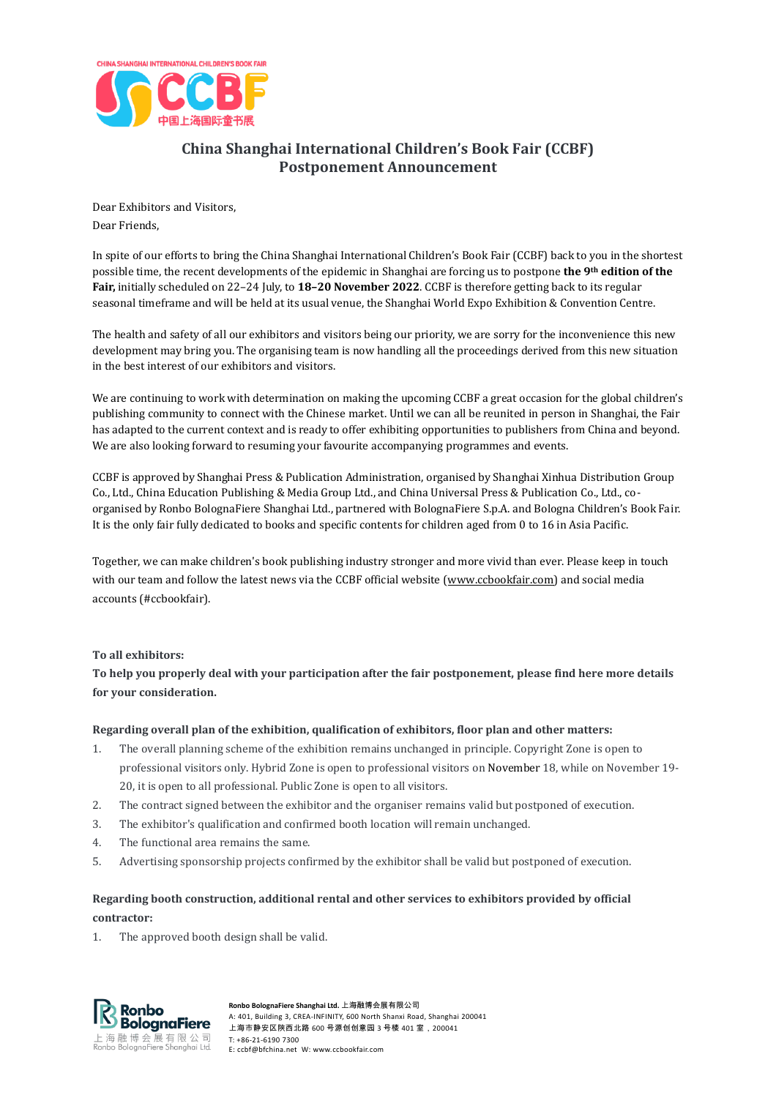

# **China Shanghai International Children's Book Fair (CCBF) Postponement Announcement**

Dear Exhibitors and Visitors, Dear Friends,

In spite of our efforts to bring the China Shanghai International Children's Book Fair (CCBF) back to you in the shortest possible time, the recent developments of the epidemic in Shanghai are forcing us to postpone **the 9th edition of the Fair,** initially scheduled on 22–24 July, to **18–20 November 2022**. CCBF is therefore getting back to its regular seasonal timeframe and will be held at its usual venue, the Shanghai World Expo Exhibition & Convention Centre.

The health and safety of all our exhibitors and visitors being our priority, we are sorry for the inconvenience this new development may bring you. The organising team is now handling all the proceedings derived from this new situation in the best interest of our exhibitors and visitors.

We are continuing to work with determination on making the upcoming CCBF a great occasion for the global children's publishing community to connect with the Chinese market. Until we can all be reunited in person in Shanghai, the Fair has adapted to the current context and is ready to offer exhibiting opportunities to publishers from China and beyond. We are also looking forward to resuming your favourite accompanying programmes and events.

CCBF is approved by Shanghai Press & Publication Administration, organised by Shanghai Xinhua Distribution Group Co., Ltd., China Education Publishing & Media Group Ltd., and China Universal Press & Publication Co., Ltd., coorganised by Ronbo BolognaFiere Shanghai Ltd., partnered with BolognaFiere S.p.A. and Bologna Children's Book Fair. It is the only fair fully dedicated to books and specific contents for children aged from 0 to 16 in Asia Pacific.

Together, we can make children's book publishing industry stronger and more vivid than ever. Please keep in touch with our team and follow the latest news via the CCBF official website [\(www.ccbookfair.com\)](http://www.ccbookfair.com/) and social media accounts (#ccbookfair).

## **To all exhibitors:**

**To help you properly deal with your participation after the fair postponement, please find here more details for your consideration.**

## **Regarding overall plan of the exhibition, qualification of exhibitors, floor plan and other matters:**

- 1. The overall planning scheme of the exhibition remains unchanged in principle. Copyright Zone is open to professional visitors only. Hybrid Zone is open to professional visitors on November 18, while on November 19- 20, it is open to all professional. Public Zone is open to all visitors.
- 2. The contract signed between the exhibitor and the organiser remains valid but postponed of execution.
- 3. The exhibitor's qualification and confirmed booth location will remain unchanged.
- 4. The functional area remains the same.
- 5. Advertising sponsorship projects confirmed by the exhibitor shall be valid but postponed of execution.

# **Regarding booth construction, additional rental and other services to exhibitors provided by official contractor:**

1. The approved booth design shall be valid.



**Ronbo BolognaFiere Shanghai Ltd.** 上海融博会展有限公司 A: 401, Building 3, CREA-INFINITY, 600 North Shanxi Road, Shanghai 200041 上海市静安区陕西北路 600 号源创创意园 3 号楼 401 室,200041 T: +86-21-6190 7300 E: ccbf@bfchina.net W: www.ccbookfair.com